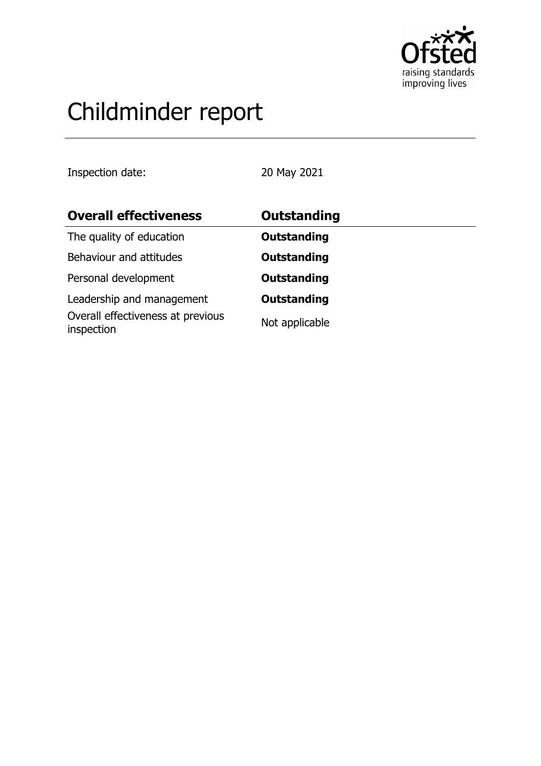

# Childminder report

Inspection date: 20 May 2021

| <b>Overall effectiveness</b>                    | <b>Outstanding</b> |
|-------------------------------------------------|--------------------|
| The quality of education                        | <b>Outstanding</b> |
| Behaviour and attitudes                         | <b>Outstanding</b> |
| Personal development                            | <b>Outstanding</b> |
| Leadership and management                       | <b>Outstanding</b> |
| Overall effectiveness at previous<br>inspection | Not applicable     |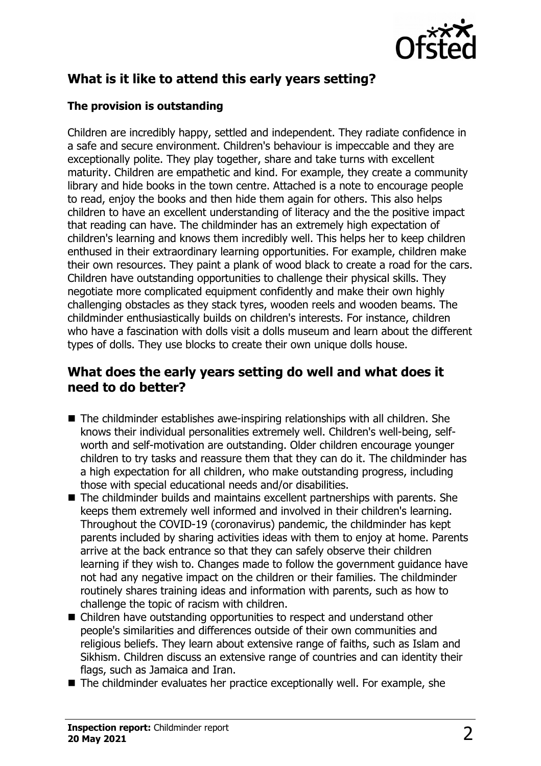

# **What is it like to attend this early years setting?**

#### **The provision is outstanding**

Children are incredibly happy, settled and independent. They radiate confidence in a safe and secure environment. Children's behaviour is impeccable and they are exceptionally polite. They play together, share and take turns with excellent maturity. Children are empathetic and kind. For example, they create a community library and hide books in the town centre. Attached is a note to encourage people to read, enjoy the books and then hide them again for others. This also helps children to have an excellent understanding of literacy and the the positive impact that reading can have. The childminder has an extremely high expectation of children's learning and knows them incredibly well. This helps her to keep children enthused in their extraordinary learning opportunities. For example, children make their own resources. They paint a plank of wood black to create a road for the cars. Children have outstanding opportunities to challenge their physical skills. They negotiate more complicated equipment confidently and make their own highly challenging obstacles as they stack tyres, wooden reels and wooden beams. The childminder enthusiastically builds on children's interests. For instance, children who have a fascination with dolls visit a dolls museum and learn about the different types of dolls. They use blocks to create their own unique dolls house.

## **What does the early years setting do well and what does it need to do better?**

- $\blacksquare$  The childminder establishes awe-inspiring relationships with all children. She knows their individual personalities extremely well. Children's well-being, selfworth and self-motivation are outstanding. Older children encourage younger children to try tasks and reassure them that they can do it. The childminder has a high expectation for all children, who make outstanding progress, including those with special educational needs and/or disabilities.
- The childminder builds and maintains excellent partnerships with parents. She keeps them extremely well informed and involved in their children's learning. Throughout the COVID-19 (coronavirus) pandemic, the childminder has kept parents included by sharing activities ideas with them to enjoy at home. Parents arrive at the back entrance so that they can safely observe their children learning if they wish to. Changes made to follow the government guidance have not had any negative impact on the children or their families. The childminder routinely shares training ideas and information with parents, such as how to challenge the topic of racism with children.
- Children have outstanding opportunities to respect and understand other people's similarities and differences outside of their own communities and religious beliefs. They learn about extensive range of faiths, such as Islam and Sikhism. Children discuss an extensive range of countries and can identity their flags, such as Jamaica and Iran.
- $\blacksquare$  The childminder evaluates her practice exceptionally well. For example, she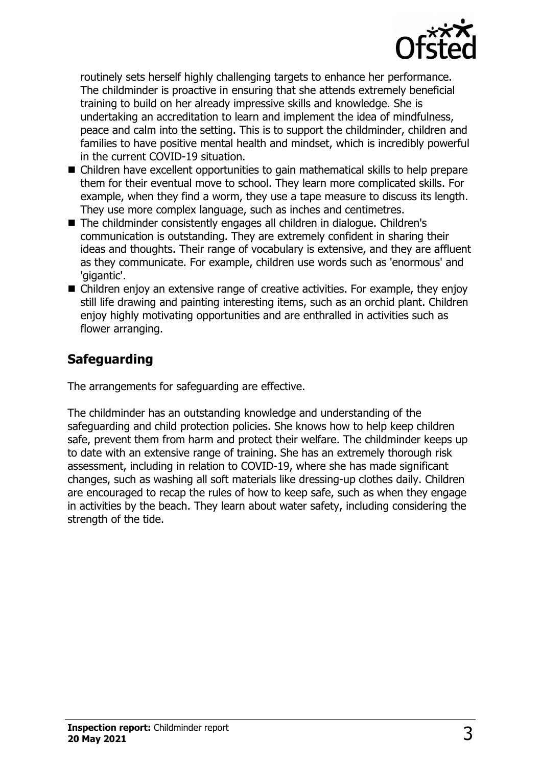

routinely sets herself highly challenging targets to enhance her performance. The childminder is proactive in ensuring that she attends extremely beneficial training to build on her already impressive skills and knowledge. She is undertaking an accreditation to learn and implement the idea of mindfulness, peace and calm into the setting. This is to support the childminder, children and families to have positive mental health and mindset, which is incredibly powerful in the current COVID-19 situation.

- Children have excellent opportunities to gain mathematical skills to help prepare them for their eventual move to school. They learn more complicated skills. For example, when they find a worm, they use a tape measure to discuss its length. They use more complex language, such as inches and centimetres.
- The childminder consistently engages all children in dialogue. Children's communication is outstanding. They are extremely confident in sharing their ideas and thoughts. Their range of vocabulary is extensive, and they are affluent as they communicate. For example, children use words such as 'enormous' and 'gigantic'.
- $\blacksquare$  Children enjoy an extensive range of creative activities. For example, they enjoy still life drawing and painting interesting items, such as an orchid plant. Children enjoy highly motivating opportunities and are enthralled in activities such as flower arranging.

## **Safeguarding**

The arrangements for safeguarding are effective.

The childminder has an outstanding knowledge and understanding of the safeguarding and child protection policies. She knows how to help keep children safe, prevent them from harm and protect their welfare. The childminder keeps up to date with an extensive range of training. She has an extremely thorough risk assessment, including in relation to COVID-19, where she has made significant changes, such as washing all soft materials like dressing-up clothes daily. Children are encouraged to recap the rules of how to keep safe, such as when they engage in activities by the beach. They learn about water safety, including considering the strength of the tide.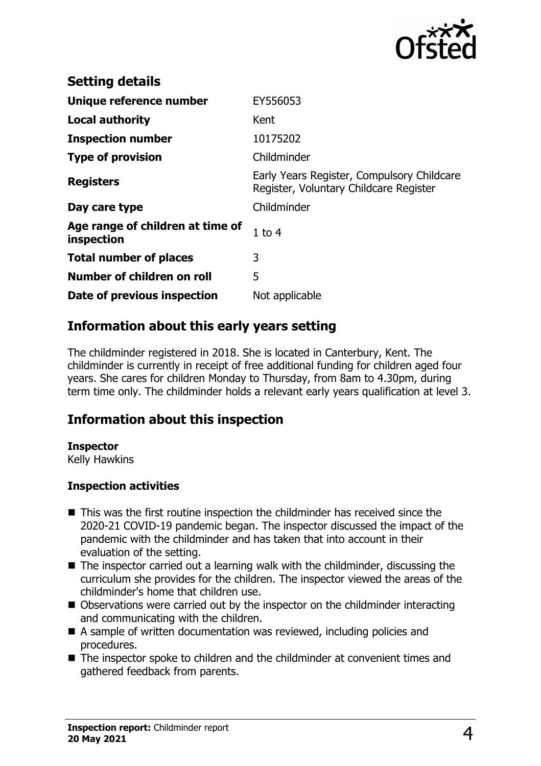

| <b>Setting details</b>                         |                                                                                      |
|------------------------------------------------|--------------------------------------------------------------------------------------|
| Unique reference number                        | EY556053                                                                             |
| <b>Local authority</b>                         | Kent                                                                                 |
| <b>Inspection number</b>                       | 10175202                                                                             |
| <b>Type of provision</b>                       | Childminder                                                                          |
| <b>Registers</b>                               | Early Years Register, Compulsory Childcare<br>Register, Voluntary Childcare Register |
| Day care type                                  | Childminder                                                                          |
| Age range of children at time of<br>inspection | $1$ to $4$                                                                           |
| <b>Total number of places</b>                  | 3                                                                                    |
| Number of children on roll                     | 5                                                                                    |
| Date of previous inspection                    | Not applicable                                                                       |

## **Information about this early years setting**

The childminder registered in 2018. She is located in Canterbury, Kent. The childminder is currently in receipt of free additional funding for children aged four years. She cares for children Monday to Thursday, from 8am to 4.30pm, during term time only. The childminder holds a relevant early years qualification at level 3.

#### **Information about this inspection**

#### **Inspector**

Kelly Hawkins

#### **Inspection activities**

- $\blacksquare$  This was the first routine inspection the childminder has received since the 2020-21 COVID-19 pandemic began. The inspector discussed the impact of the pandemic with the childminder and has taken that into account in their evaluation of the setting.
- $\blacksquare$  The inspector carried out a learning walk with the childminder, discussing the curriculum she provides for the children. The inspector viewed the areas of the childminder's home that children use.
- Observations were carried out by the inspector on the childminder interacting and communicating with the children.
- $\blacksquare$  A sample of written documentation was reviewed, including policies and procedures.
- $\blacksquare$  The inspector spoke to children and the childminder at convenient times and gathered feedback from parents.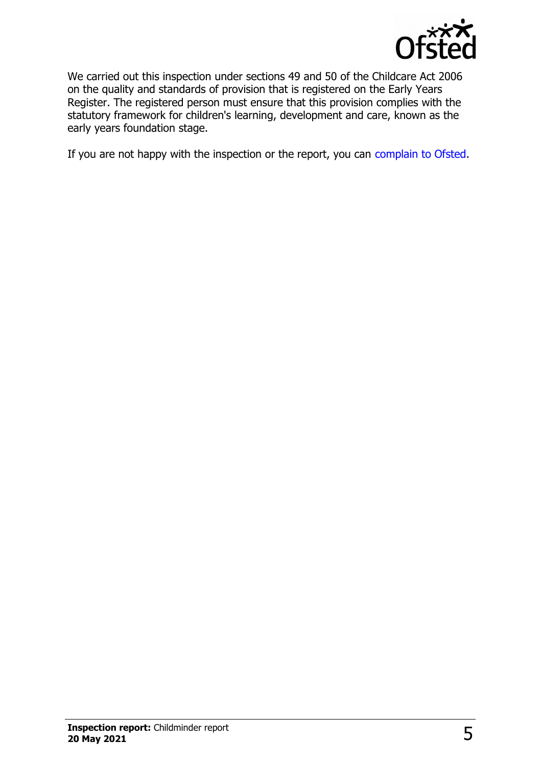

We carried out this inspection under sections 49 and 50 of the Childcare Act 2006 on the quality and standards of provision that is registered on the Early Years Register. The registered person must ensure that this provision complies with the statutory framework for children's learning, development and care, known as the early years foundation stage.

If you are not happy with the inspection or the report, you can [complain to Ofsted.](http://www.gov.uk/complain-ofsted-report)